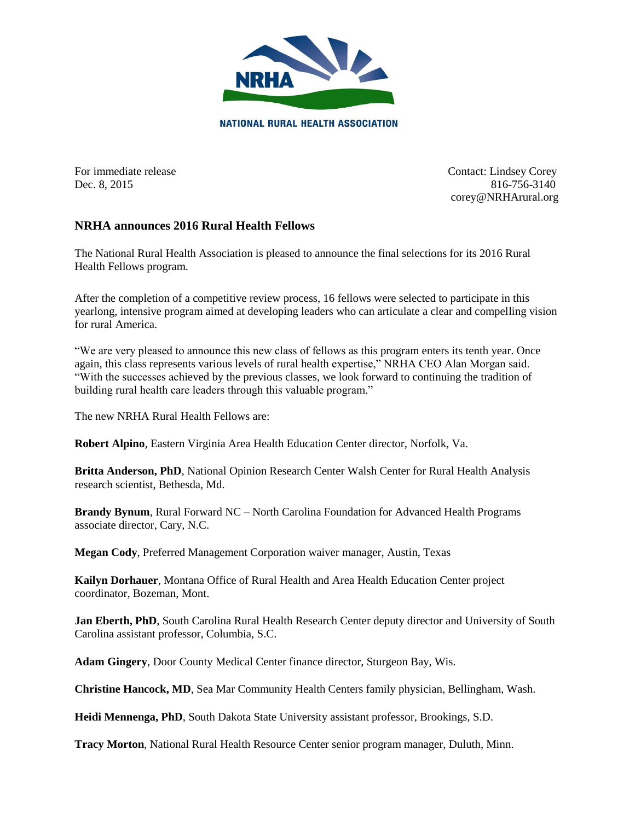

For immediate release Contact: Lindsey Corey Dec. 8, 2015 816-756-3140 corey@NRHArural.org

## **NRHA announces 2016 Rural Health Fellows**

The National Rural Health Association is pleased to announce the final selections for its 2016 Rural Health Fellows program.

After the completion of a competitive review process, 16 fellows were selected to participate in this yearlong, intensive program aimed at developing leaders who can articulate a clear and compelling vision for rural America.

"We are very pleased to announce this new class of fellows as this program enters its tenth year. Once again, this class represents various levels of rural health expertise," NRHA CEO Alan Morgan said. "With the successes achieved by the previous classes, we look forward to continuing the tradition of building rural health care leaders through this valuable program."

The new NRHA Rural Health Fellows are:

**Robert Alpino**, Eastern Virginia Area Health Education Center director, Norfolk, Va.

**Britta Anderson, PhD**, National Opinion Research Center Walsh Center for Rural Health Analysis research scientist, Bethesda, Md.

**Brandy Bynum**, Rural Forward NC – North Carolina Foundation for Advanced Health Programs associate director, Cary, N.C.

**Megan Cody**, Preferred Management Corporation waiver manager, Austin, Texas

**Kailyn Dorhauer**, Montana Office of Rural Health and Area Health Education Center project coordinator, Bozeman, Mont.

**Jan Eberth, PhD**, South Carolina Rural Health Research Center deputy director and University of South Carolina assistant professor, Columbia, S.C.

**Adam Gingery**, Door County Medical Center finance director, Sturgeon Bay, Wis.

**Christine Hancock, MD**, Sea Mar Community Health Centers family physician, Bellingham, Wash.

**Heidi Mennenga, PhD**, South Dakota State University assistant professor, Brookings, S.D.

**Tracy Morton**, National Rural Health Resource Center senior program manager, Duluth, Minn.